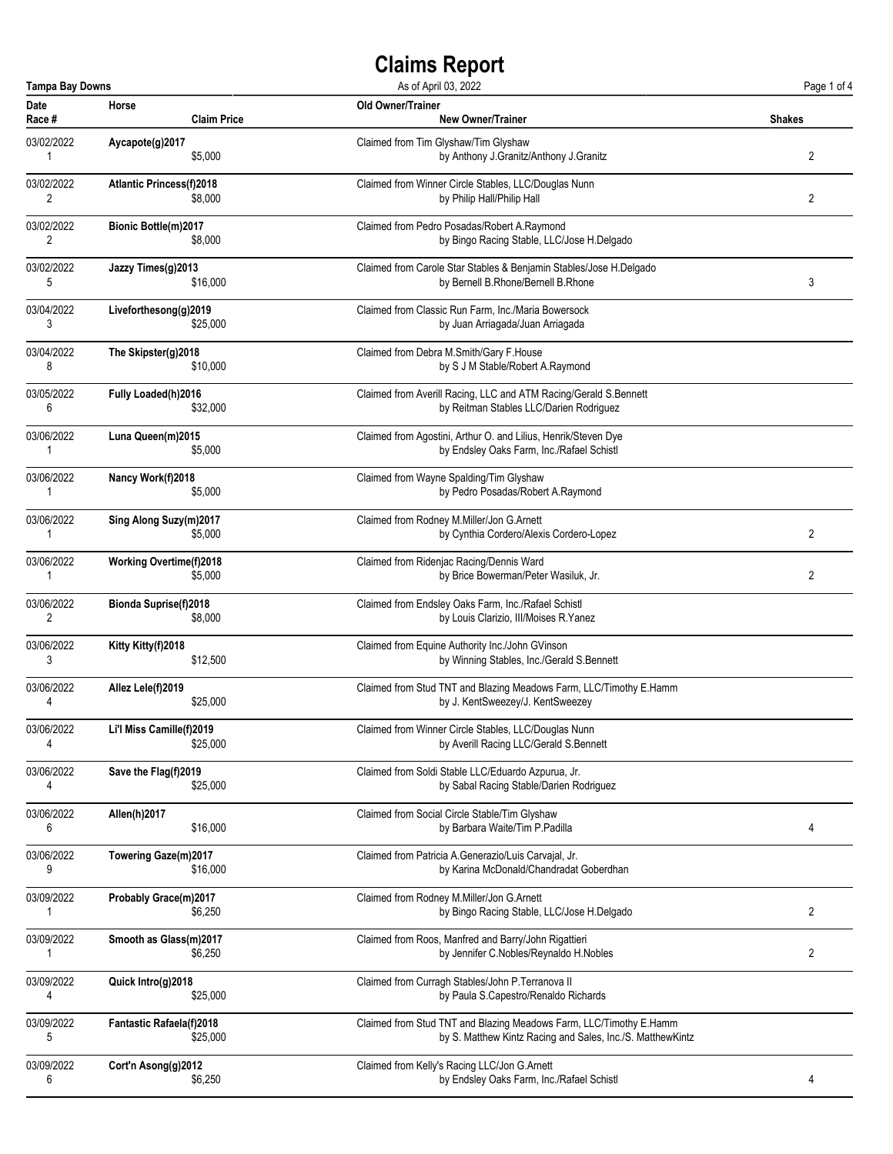| <b>Tampa Bay Downs</b><br>As of April 03, 2022 |                                 |                                                                    |        |
|------------------------------------------------|---------------------------------|--------------------------------------------------------------------|--------|
| Date                                           | Horse                           | <b>Old Owner/Trainer</b>                                           | Shakes |
| Race #                                         | <b>Claim Price</b>              | <b>New Owner/Trainer</b>                                           |        |
| 03/02/2022                                     | Aycapote(g)2017                 | Claimed from Tim Glyshaw/Tim Glyshaw                               | 2      |
| 1                                              | \$5,000                         | by Anthony J.Granitz/Anthony J.Granitz                             |        |
| 03/02/2022                                     | <b>Atlantic Princess(f)2018</b> | Claimed from Winner Circle Stables, LLC/Douglas Nunn               | 2      |
| 2                                              | \$8,000                         | by Philip Hall/Philip Hall                                         |        |
| 03/02/2022                                     | <b>Bionic Bottle(m)2017</b>     | Claimed from Pedro Posadas/Robert A.Raymond                        |        |
| 2                                              | \$8,000                         | by Bingo Racing Stable, LLC/Jose H.Delgado                         |        |
| 03/02/2022                                     | Jazzy Times(g)2013              | Claimed from Carole Star Stables & Benjamin Stables/Jose H.Delgado | 3      |
| 5                                              | \$16,000                        | by Bernell B.Rhone/Bernell B.Rhone                                 |        |
| 03/04/2022                                     | Liveforthesong(g)2019           | Claimed from Classic Run Farm, Inc./Maria Bowersock                |        |
| 3                                              | \$25,000                        | by Juan Arriagada/Juan Arriagada                                   |        |
| 03/04/2022                                     | The Skipster(g)2018             | Claimed from Debra M.Smith/Gary F.House                            |        |
| 8                                              | \$10,000                        | by S J M Stable/Robert A.Raymond                                   |        |
| 03/05/2022                                     | <b>Fully Loaded(h)2016</b>      | Claimed from Averill Racing, LLC and ATM Racing/Gerald S.Bennett   |        |
| 6                                              | \$32,000                        | by Reitman Stables LLC/Darien Rodriguez                            |        |
| 03/06/2022                                     | Luna Queen(m)2015               | Claimed from Agostini, Arthur O. and Lilius, Henrik/Steven Dye     |        |
| 1                                              | \$5,000                         | by Endsley Oaks Farm, Inc./Rafael Schistl                          |        |
| 03/06/2022                                     | Nancy Work(f)2018               | Claimed from Wayne Spalding/Tim Glyshaw                            |        |
| 1                                              | \$5,000                         | by Pedro Posadas/Robert A.Raymond                                  |        |
| 03/06/2022                                     | Sing Along Suzy(m)2017          | Claimed from Rodney M.Miller/Jon G.Arnett                          | 2      |
| 1                                              | \$5,000                         | by Cynthia Cordero/Alexis Cordero-Lopez                            |        |
| 03/06/2022                                     | <b>Working Overtime(f)2018</b>  | Claimed from Ridenjac Racing/Dennis Ward                           | 2      |
| 1                                              | \$5,000                         | by Brice Bowerman/Peter Wasiluk, Jr.                               |        |
| 03/06/2022                                     | <b>Bionda Suprise(f)2018</b>    | Claimed from Endsley Oaks Farm, Inc./Rafael Schistl                |        |
| 2                                              | \$8,000                         | by Louis Clarizio, Ill/Moises R.Yanez                              |        |
| 03/06/2022                                     | Kitty Kitty(f)2018              | Claimed from Equine Authority Inc./John GVinson                    |        |
| 3                                              | \$12,500                        | by Winning Stables, Inc./Gerald S.Bennett                          |        |
| 03/06/2022                                     | Allez Lele(f)2019               | Claimed from Stud TNT and Blazing Meadows Farm, LLC/Timothy E.Hamm |        |
| 4                                              | \$25,000                        | by J. KentSweezey/J. KentSweezey                                   |        |
| 03/06/2022                                     | Li'l Miss Camille(f)2019        | Claimed from Winner Circle Stables, LLC/Douglas Nunn               |        |
| 4                                              | \$25,000                        | by Averill Racing LLC/Gerald S.Bennett                             |        |
| 03/06/2022                                     | Save the Flag(f)2019            | Claimed from Soldi Stable LLC/Eduardo Azpurua, Jr.                 |        |
| 4                                              | \$25,000                        | by Sabal Racing Stable/Darien Rodriguez                            |        |
| 03/06/2022                                     | Allen(h)2017                    | Claimed from Social Circle Stable/Tim Glyshaw                      | 4      |
| 6                                              | \$16,000                        | by Barbara Waite/Tim P.Padilla                                     |        |
| 03/06/2022                                     | Towering Gaze(m)2017            | Claimed from Patricia A.Generazio/Luis Carvajal, Jr.               |        |
| 9                                              | \$16,000                        | by Karina McDonald/Chandradat Goberdhan                            |        |
| 03/09/2022                                     | Probably Grace(m)2017           | Claimed from Rodney M.Miller/Jon G.Arnett                          | 2      |
| 1                                              | \$6,250                         | by Bingo Racing Stable, LLC/Jose H.Delgado                         |        |
| 03/09/2022                                     | Smooth as Glass(m)2017          | Claimed from Roos, Manfred and Barry/John Rigattieri               | 2      |
| 1                                              | \$6,250                         | by Jennifer C.Nobles/Reynaldo H.Nobles                             |        |
| 03/09/2022                                     | Quick Intro(g)2018              | Claimed from Curragh Stables/John P. Terranova II                  |        |
| 4                                              | \$25,000                        | by Paula S.Capestro/Renaldo Richards                               |        |
| 03/09/2022                                     | <b>Fantastic Rafaela(f)2018</b> | Claimed from Stud TNT and Blazing Meadows Farm, LLC/Timothy E.Hamm |        |
| 5                                              | \$25,000                        | by S. Matthew Kintz Racing and Sales, Inc./S. MatthewKintz         |        |
| 03/09/2022                                     | Cort'n Asong(g)2012             | Claimed from Kelly's Racing LLC/Jon G.Arnett                       | 4      |
| 6                                              | \$6,250                         | by Endsley Oaks Farm, Inc./Rafael Schistl                          |        |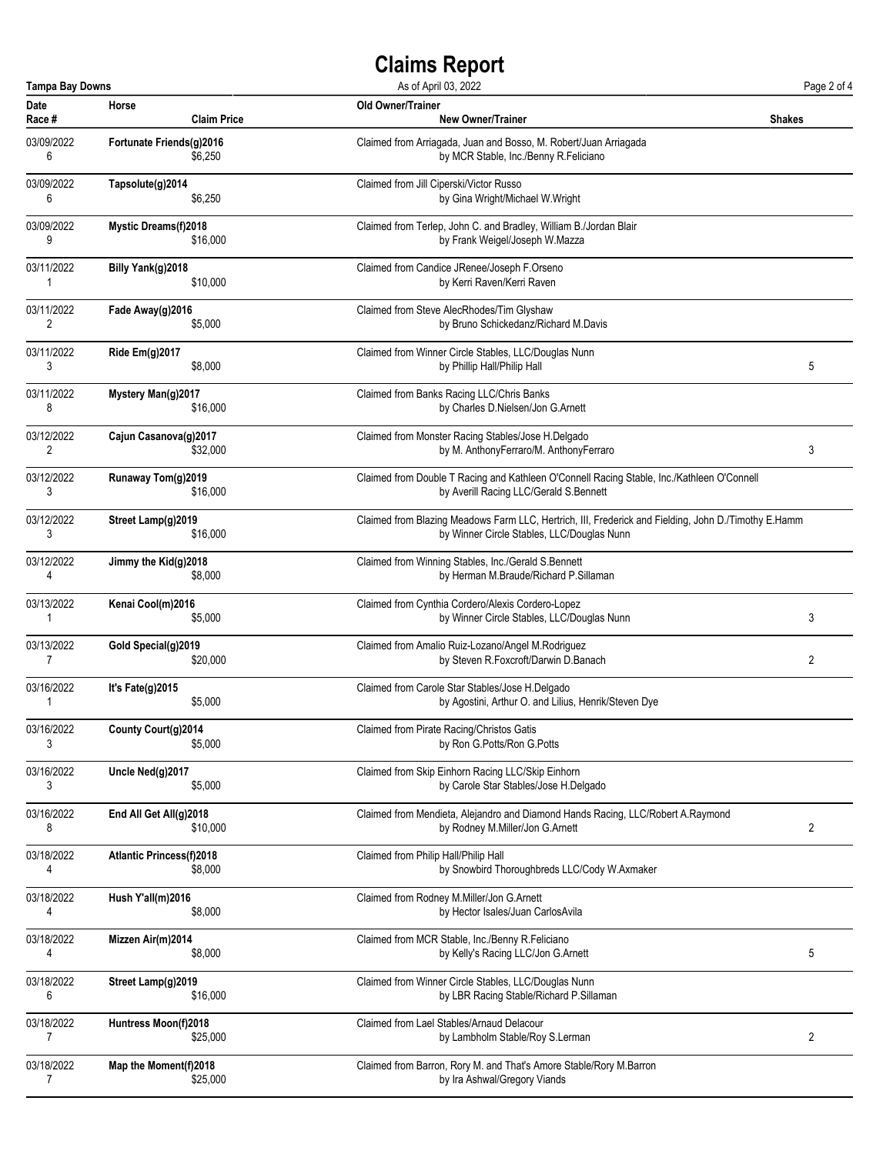| <b>Tampa Bay Downs</b><br>As of April 03, 2022 |                                 |                                                                                                      |               |  |
|------------------------------------------------|---------------------------------|------------------------------------------------------------------------------------------------------|---------------|--|
| Date                                           | Horse                           | Old Owner/Trainer                                                                                    | <b>Shakes</b> |  |
| Race #                                         | <b>Claim Price</b>              | <b>New Owner/Trainer</b>                                                                             |               |  |
| 03/09/2022                                     | Fortunate Friends(g)2016        | Claimed from Arriagada, Juan and Bosso, M. Robert/Juan Arriagada                                     |               |  |
| 6                                              | \$6,250                         | by MCR Stable, Inc./Benny R.Feliciano                                                                |               |  |
| 03/09/2022                                     | Tapsolute(g)2014                | Claimed from Jill Ciperski/Victor Russo                                                              |               |  |
| 6                                              | \$6,250                         | by Gina Wright/Michael W.Wright                                                                      |               |  |
| 03/09/2022                                     | <b>Mystic Dreams(f)2018</b>     | Claimed from Terlep, John C. and Bradley, William B./Jordan Blair                                    |               |  |
| 9                                              | \$16,000                        | by Frank Weigel/Joseph W.Mazza                                                                       |               |  |
| 03/11/2022                                     | Billy Yank(g)2018               | Claimed from Candice JRenee/Joseph F.Orseno                                                          |               |  |
| 1                                              | \$10,000                        | by Kerri Raven/Kerri Raven                                                                           |               |  |
| 03/11/2022                                     | Fade Away(g)2016                | Claimed from Steve AlecRhodes/Tim Glyshaw                                                            |               |  |
| 2                                              | \$5,000                         | by Bruno Schickedanz/Richard M.Davis                                                                 |               |  |
| 03/11/2022                                     | <b>Ride Em(g)2017</b>           | Claimed from Winner Circle Stables, LLC/Douglas Nunn                                                 | 5             |  |
| 3                                              | \$8,000                         | by Phillip Hall/Philip Hall                                                                          |               |  |
| 03/11/2022                                     | Mystery Man(g)2017              | Claimed from Banks Racing LLC/Chris Banks                                                            |               |  |
| 8                                              | \$16,000                        | by Charles D.Nielsen/Jon G.Arnett                                                                    |               |  |
| 03/12/2022                                     | Cajun Casanova(g)2017           | Claimed from Monster Racing Stables/Jose H.Delgado                                                   | 3             |  |
| 2                                              | \$32,000                        | by M. AnthonyFerraro/M. AnthonyFerraro                                                               |               |  |
| 03/12/2022                                     | Runaway Tom(g)2019              | Claimed from Double T Racing and Kathleen O'Connell Racing Stable, Inc./Kathleen O'Connell           |               |  |
| 3                                              | \$16,000                        | by Averill Racing LLC/Gerald S.Bennett                                                               |               |  |
| 03/12/2022                                     | Street Lamp(g)2019              | Claimed from Blazing Meadows Farm LLC, Hertrich, III, Frederick and Fielding, John D./Timothy E.Hamm |               |  |
| 3                                              | \$16,000                        | by Winner Circle Stables, LLC/Douglas Nunn                                                           |               |  |
| 03/12/2022                                     | Jimmy the Kid(g)2018            | Claimed from Winning Stables, Inc./Gerald S.Bennett                                                  |               |  |
| 4                                              | \$8,000                         | by Herman M.Braude/Richard P.Sillaman                                                                |               |  |
| 03/13/2022                                     | Kenai Cool(m)2016               | Claimed from Cynthia Cordero/Alexis Cordero-Lopez                                                    | 3             |  |
| 1                                              | \$5,000                         | by Winner Circle Stables, LLC/Douglas Nunn                                                           |               |  |
| 03/13/2022                                     | Gold Special(g)2019             | Claimed from Amalio Ruiz-Lozano/Angel M.Rodriguez                                                    | 2             |  |
| $\overline{7}$                                 | \$20,000                        | by Steven R.Foxcroft/Darwin D.Banach                                                                 |               |  |
| 03/16/2022                                     | It's Fate(g)2015                | Claimed from Carole Star Stables/Jose H.Delgado                                                      |               |  |
| 1                                              | \$5,000                         | by Agostini, Arthur O. and Lilius, Henrik/Steven Dye                                                 |               |  |
| 03/16/2022                                     | County Court(g)2014             | Claimed from Pirate Racing/Christos Gatis                                                            |               |  |
| 3                                              | \$5,000                         | by Ron G.Potts/Ron G.Potts                                                                           |               |  |
| 03/16/2022                                     | Uncle Ned(g)2017                | Claimed from Skip Einhorn Racing LLC/Skip Einhorn                                                    |               |  |
| 3                                              | \$5,000                         | by Carole Star Stables/Jose H.Delgado                                                                |               |  |
| 03/16/2022                                     | End All Get All(g)2018          | Claimed from Mendieta, Alejandro and Diamond Hands Racing, LLC/Robert A.Raymond                      | 2             |  |
| 8                                              | \$10,000                        | by Rodney M.Miller/Jon G.Arnett                                                                      |               |  |
| 03/18/2022                                     | <b>Atlantic Princess(f)2018</b> | Claimed from Philip Hall/Philip Hall                                                                 |               |  |
| 4                                              | \$8,000                         | by Snowbird Thoroughbreds LLC/Cody W.Axmaker                                                         |               |  |
| 03/18/2022                                     | Hush Y'all(m)2016               | Claimed from Rodney M.Miller/Jon G.Arnett                                                            |               |  |
| 4                                              | \$8,000                         | by Hector Isales/Juan CarlosAvila                                                                    |               |  |
| 03/18/2022                                     | Mizzen Air(m)2014               | Claimed from MCR Stable, Inc./Benny R.Feliciano                                                      | 5             |  |
| 4                                              | \$8,000                         | by Kelly's Racing LLC/Jon G.Arnett                                                                   |               |  |
| 03/18/2022                                     | Street Lamp(g)2019              | Claimed from Winner Circle Stables, LLC/Douglas Nunn                                                 |               |  |
| 6                                              | \$16,000                        | by LBR Racing Stable/Richard P.Sillaman                                                              |               |  |
| 03/18/2022                                     | Huntress Moon(f)2018            | Claimed from Lael Stables/Arnaud Delacour                                                            | 2             |  |
| $\overline{7}$                                 | \$25,000                        | by Lambholm Stable/Roy S.Lerman                                                                      |               |  |
| 03/18/2022                                     | Map the Moment(f)2018           | Claimed from Barron, Rory M. and That's Amore Stable/Rory M.Barron                                   |               |  |
| $\overline{7}$                                 | \$25,000                        | by Ira Ashwal/Gregory Viands                                                                         |               |  |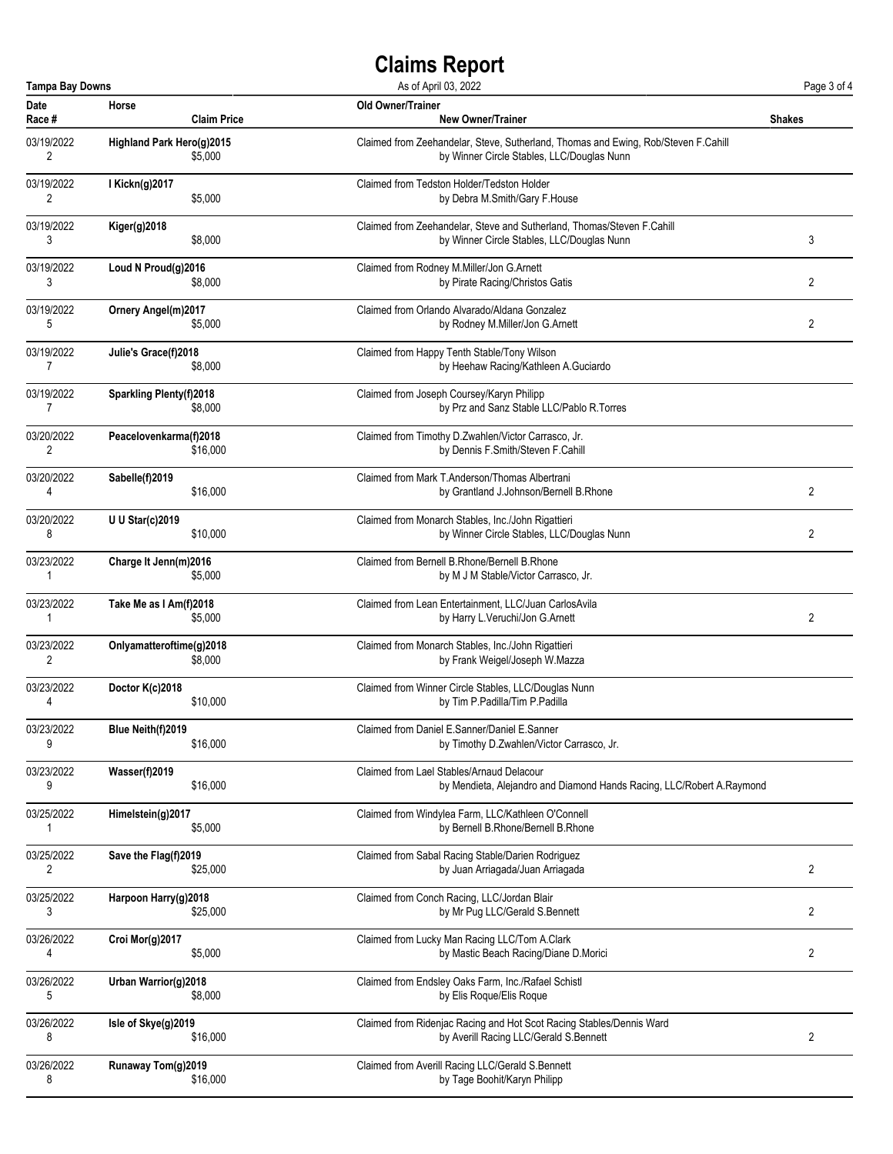| <b>Tampa Bay Downs</b><br>As of April 03, 2022<br>Page 3 of 4 |                                |                    |                                                                                                                                  |                |
|---------------------------------------------------------------|--------------------------------|--------------------|----------------------------------------------------------------------------------------------------------------------------------|----------------|
| Date<br>Race #                                                | Horse                          | <b>Claim Price</b> | Old Owner/Trainer<br><b>New Owner/Trainer</b>                                                                                    | <b>Shakes</b>  |
| 03/19/2022<br>2                                               | Highland Park Hero(g)2015      | \$5,000            | Claimed from Zeehandelar, Steve, Sutherland, Thomas and Ewing, Rob/Steven F.Cahill<br>by Winner Circle Stables, LLC/Douglas Nunn |                |
| 03/19/2022<br>2                                               | I Kickn(g) 2017                | \$5,000            | Claimed from Tedston Holder/Tedston Holder<br>by Debra M.Smith/Gary F.House                                                      |                |
| 03/19/2022<br>3                                               | <b>Kiger(g)2018</b>            | \$8,000            | Claimed from Zeehandelar, Steve and Sutherland, Thomas/Steven F.Cahill<br>by Winner Circle Stables, LLC/Douglas Nunn             | 3              |
| 03/19/2022<br>3                                               | Loud N $Proud(q)$ 2016         | \$8,000            | Claimed from Rodney M.Miller/Jon G.Arnett<br>by Pirate Racing/Christos Gatis                                                     | 2              |
| 03/19/2022<br>5                                               | <b>Ornery Angel(m)2017</b>     | \$5,000            | Claimed from Orlando Alvarado/Aldana Gonzalez<br>by Rodney M.Miller/Jon G.Arnett                                                 | 2              |
| 03/19/2022<br>7                                               | Julie's Grace(f)2018           | \$8,000            | Claimed from Happy Tenth Stable/Tony Wilson<br>by Heehaw Racing/Kathleen A.Guciardo                                              |                |
| 03/19/2022<br>7                                               | <b>Sparkling Plenty(f)2018</b> | \$8,000            | Claimed from Joseph Coursey/Karyn Philipp<br>by Prz and Sanz Stable LLC/Pablo R.Torres                                           |                |
| 03/20/2022<br>2                                               | Peacelovenkarma(f)2018         | \$16,000           | Claimed from Timothy D.Zwahlen/Victor Carrasco, Jr.<br>by Dennis F.Smith/Steven F.Cahill                                         |                |
| 03/20/2022<br>4                                               | Sabelle(f)2019                 | \$16,000           | Claimed from Mark T. Anderson/Thomas Albertrani<br>by Grantland J.Johnson/Bernell B.Rhone                                        | 2              |
| 03/20/2022<br>8                                               | <b>U U Star(c)2019</b>         | \$10,000           | Claimed from Monarch Stables, Inc./John Rigattieri<br>by Winner Circle Stables, LLC/Douglas Nunn                                 | 2              |
| 03/23/2022<br>1                                               | Charge It Jenn(m)2016          | \$5,000            | Claimed from Bernell B.Rhone/Bernell B.Rhone<br>by M J M Stable/Victor Carrasco, Jr.                                             |                |
| 03/23/2022<br>1                                               | Take Me as I Am(f)2018         | \$5,000            | Claimed from Lean Entertainment, LLC/Juan CarlosAvila<br>by Harry L. Veruchi/Jon G. Arnett                                       | 2              |
| 03/23/2022<br>$\overline{c}$                                  | Onlyamatteroftime(g)2018       | \$8,000            | Claimed from Monarch Stables, Inc./John Rigattieri<br>by Frank Weigel/Joseph W.Mazza                                             |                |
| 03/23/2022<br>4                                               | Doctor K(c)2018                | \$10,000           | Claimed from Winner Circle Stables, LLC/Douglas Nunn<br>by Tim P.Padilla/Tim P.Padilla                                           |                |
| 03/23/2022<br>9                                               | Blue Neith(f)2019              | \$16,000           | Claimed from Daniel E.Sanner/Daniel E.Sanner<br>by Timothy D.Zwahlen/Victor Carrasco, Jr.                                        |                |
| 03/23/2022<br>9                                               | Wasser(f)2019                  | \$16,000           | Claimed from Lael Stables/Arnaud Delacour<br>by Mendieta, Alejandro and Diamond Hands Racing, LLC/Robert A.Raymond               |                |
| 03/25/2022<br>1                                               | Himelstein(g)2017              | \$5,000            | Claimed from Windylea Farm, LLC/Kathleen O'Connell<br>by Bernell B.Rhone/Bernell B.Rhone                                         |                |
| 03/25/2022<br>2                                               | Save the Flag(f)2019           | \$25,000           | Claimed from Sabal Racing Stable/Darien Rodriguez<br>by Juan Arriagada/Juan Arriagada                                            | 2              |
| 03/25/2022<br>3                                               | Harpoon Harry(g)2018           | \$25,000           | Claimed from Conch Racing, LLC/Jordan Blair<br>by Mr Pug LLC/Gerald S.Bennett                                                    | 2              |
| 03/26/2022<br>4                                               | Croi Mor(g)2017                | \$5,000            | Claimed from Lucky Man Racing LLC/Tom A.Clark<br>by Mastic Beach Racing/Diane D.Morici                                           | $\overline{2}$ |
| 03/26/2022<br>5                                               | Urban Warrior(g)2018           | \$8,000            | Claimed from Endsley Oaks Farm, Inc./Rafael Schistl<br>by Elis Roque/Elis Roque                                                  |                |
| 03/26/2022<br>8                                               | Isle of Skye(g)2019            | \$16,000           | Claimed from Ridenjac Racing and Hot Scot Racing Stables/Dennis Ward<br>by Averill Racing LLC/Gerald S.Bennett                   | 2              |
| 03/26/2022<br>8                                               | Runaway Tom(g)2019             | \$16,000           | Claimed from Averill Racing LLC/Gerald S.Bennett<br>by Tage Boohit/Karyn Philipp                                                 |                |